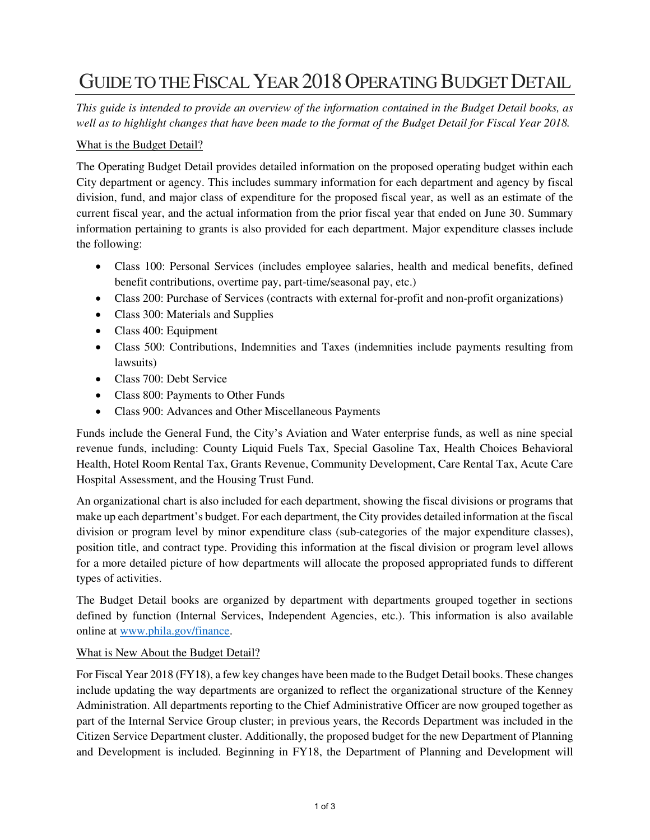## GUIDE TO THE FISCAL YEAR 2018 OPERATING BUDGET DETAIL

*This guide is intended to provide an overview of the information contained in the Budget Detail books, as well as to highlight changes that have been made to the format of the Budget Detail for Fiscal Year 2018.* 

## What is the Budget Detail?

The Operating Budget Detail provides detailed information on the proposed operating budget within each City department or agency. This includes summary information for each department and agency by fiscal division, fund, and major class of expenditure for the proposed fiscal year, as well as an estimate of the current fiscal year, and the actual information from the prior fiscal year that ended on June 30. Summary information pertaining to grants is also provided for each department. Major expenditure classes include the following:

- Class 100: Personal Services (includes employee salaries, health and medical benefits, defined benefit contributions, overtime pay, part-time/seasonal pay, etc.)
- Class 200: Purchase of Services (contracts with external for-profit and non-profit organizations)
- Class 300: Materials and Supplies
- Class 400: Equipment
- Class 500: Contributions, Indemnities and Taxes (indemnities include payments resulting from lawsuits)
- Class 700: Debt Service
- Class 800: Payments to Other Funds
- Class 900: Advances and Other Miscellaneous Payments

Funds include the General Fund, the City's Aviation and Water enterprise funds, as well as nine special revenue funds, including: County Liquid Fuels Tax, Special Gasoline Tax, Health Choices Behavioral Health, Hotel Room Rental Tax, Grants Revenue, Community Development, Care Rental Tax, Acute Care Hospital Assessment, and the Housing Trust Fund.

An organizational chart is also included for each department, showing the fiscal divisions or programs that make up each department's budget. For each department, the City provides detailed information at the fiscal division or program level by minor expenditure class (sub-categories of the major expenditure classes), position title, and contract type. Providing this information at the fiscal division or program level allows for a more detailed picture of how departments will allocate the proposed appropriated funds to different types of activities.

The Budget Detail books are organized by department with departments grouped together in sections defined by function (Internal Services, Independent Agencies, etc.). This information is also available online at [www.phila.gov/finance.](http://www.phila.gov/finance)

## What is New About the Budget Detail?

For Fiscal Year 2018 (FY18), a few key changes have been made to the Budget Detail books. These changes include updating the way departments are organized to reflect the organizational structure of the Kenney Administration. All departments reporting to the Chief Administrative Officer are now grouped together as part of the Internal Service Group cluster; in previous years, the Records Department was included in the Citizen Service Department cluster. Additionally, the proposed budget for the new Department of Planning and Development is included. Beginning in FY18, the Department of Planning and Development will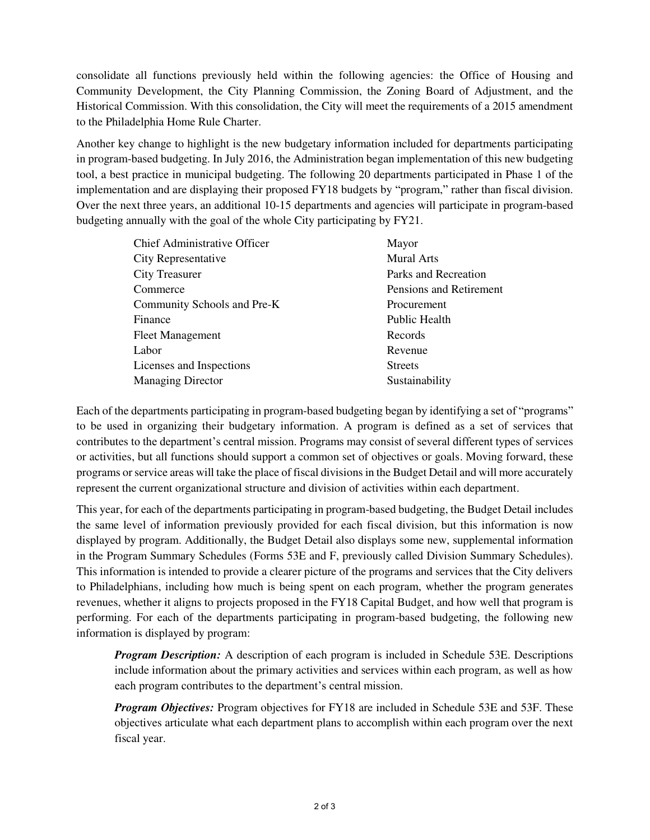consolidate all functions previously held within the following agencies: the Office of Housing and Community Development, the City Planning Commission, the Zoning Board of Adjustment, and the Historical Commission. With this consolidation, the City will meet the requirements of a 2015 amendment to the Philadelphia Home Rule Charter.

Another key change to highlight is the new budgetary information included for departments participating in program-based budgeting. In July 2016, the Administration began implementation of this new budgeting tool, a best practice in municipal budgeting. The following 20 departments participated in Phase 1 of the implementation and are displaying their proposed FY18 budgets by "program," rather than fiscal division. Over the next three years, an additional 10-15 departments and agencies will participate in program-based budgeting annually with the goal of the whole City participating by FY21.

| <b>Chief Administrative Officer</b> | Mayor                   |
|-------------------------------------|-------------------------|
| City Representative                 | <b>Mural Arts</b>       |
| <b>City Treasurer</b>               | Parks and Recreation    |
| Commerce                            | Pensions and Retirement |
| Community Schools and Pre-K         | Procurement             |
| Finance                             | Public Health           |
| <b>Fleet Management</b>             | Records                 |
| Labor                               | Revenue                 |
| Licenses and Inspections            | <b>Streets</b>          |
| <b>Managing Director</b>            | Sustainability          |
|                                     |                         |

Each of the departments participating in program-based budgeting began by identifying a set of "programs" to be used in organizing their budgetary information. A program is defined as a set of services that contributes to the department's central mission. Programs may consist of several different types of services or activities, but all functions should support a common set of objectives or goals. Moving forward, these programs or service areas will take the place of fiscal divisions in the Budget Detail and will more accurately represent the current organizational structure and division of activities within each department.

This year, for each of the departments participating in program-based budgeting, the Budget Detail includes the same level of information previously provided for each fiscal division, but this information is now displayed by program. Additionally, the Budget Detail also displays some new, supplemental information in the Program Summary Schedules (Forms 53E and F, previously called Division Summary Schedules). This information is intended to provide a clearer picture of the programs and services that the City delivers to Philadelphians, including how much is being spent on each program, whether the program generates revenues, whether it aligns to projects proposed in the FY18 Capital Budget, and how well that program is performing. For each of the departments participating in program-based budgeting, the following new information is displayed by program:

*Program Description:* A description of each program is included in Schedule 53E. Descriptions include information about the primary activities and services within each program, as well as how each program contributes to the department's central mission.

*Program Objectives:* Program objectives for FY18 are included in Schedule 53E and 53F. These objectives articulate what each department plans to accomplish within each program over the next fiscal year.